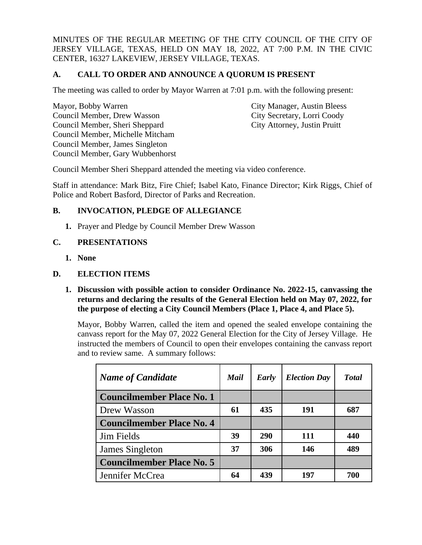MINUTES OF THE REGULAR MEETING OF THE CITY COUNCIL OF THE CITY OF JERSEY VILLAGE, TEXAS, HELD ON MAY 18, 2022, AT 7:00 P.M. IN THE CIVIC CENTER, 16327 LAKEVIEW, JERSEY VILLAGE, TEXAS.

# **A. CALL TO ORDER AND ANNOUNCE A QUORUM IS PRESENT**

The meeting was called to order by Mayor Warren at 7:01 p.m. with the following present:

Mayor, Bobby Warren City Manager, Austin Bleess Council Member, Drew Wasson City Secretary, Lorri Coody Council Member, Sheri Sheppard City Attorney, Justin Pruitt Council Member, Michelle Mitcham Council Member, James Singleton Council Member, Gary Wubbenhorst

Council Member Sheri Sheppard attended the meeting via video conference.

Staff in attendance: Mark Bitz, Fire Chief; Isabel Kato, Finance Director; Kirk Riggs, Chief of Police and Robert Basford, Director of Parks and Recreation.

# **B. INVOCATION, PLEDGE OF ALLEGIANCE**

**1.** Prayer and Pledge by Council Member Drew Wasson

# **C. PRESENTATIONS**

**1. None**

# **D. ELECTION ITEMS**

**1. Discussion with possible action to consider Ordinance No. 2022-15, canvassing the returns and declaring the results of the General Election held on May 07, 2022, for the purpose of electing a City Council Members (Place 1, Place 4, and Place 5).** 

Mayor, Bobby Warren, called the item and opened the sealed envelope containing the canvass report for the May 07, 2022 General Election for the City of Jersey Village. He instructed the members of Council to open their envelopes containing the canvass report and to review same. A summary follows:

| <b>Name of Candidate</b>         | Mail | Early | <b>Election Day</b> | <b>T</b> otal |
|----------------------------------|------|-------|---------------------|---------------|
| <b>Councilmember Place No. 1</b> |      |       |                     |               |
| Drew Wasson                      | 61   | 435   | 191                 | 687           |
| <b>Councilmember Place No. 4</b> |      |       |                     |               |
| <b>Jim Fields</b>                | 39   | 290   | 111                 | 440           |
| James Singleton                  | 37   | 306   | 146                 | 489           |
| <b>Councilmember Place No. 5</b> |      |       |                     |               |
| Jennifer McCrea                  | 64   | 439   | 197                 | 700           |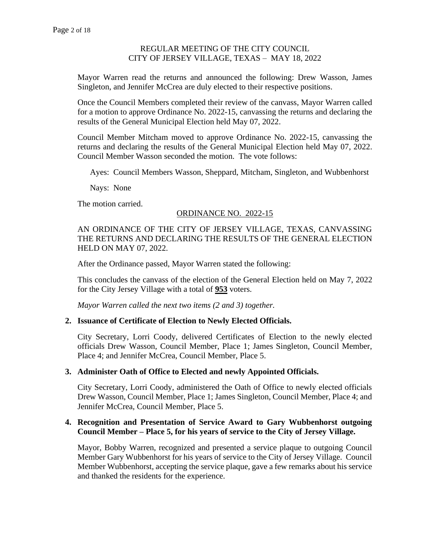Mayor Warren read the returns and announced the following: Drew Wasson, James Singleton, and Jennifer McCrea are duly elected to their respective positions.

Once the Council Members completed their review of the canvass, Mayor Warren called for a motion to approve Ordinance No. 2022-15, canvassing the returns and declaring the results of the General Municipal Election held May 07, 2022.

Council Member Mitcham moved to approve Ordinance No. 2022-15, canvassing the returns and declaring the results of the General Municipal Election held May 07, 2022. Council Member Wasson seconded the motion. The vote follows:

Ayes: Council Members Wasson, Sheppard, Mitcham, Singleton, and Wubbenhorst

Nays: None

The motion carried.

### ORDINANCE NO. 2022-15

AN ORDINANCE OF THE CITY OF JERSEY VILLAGE, TEXAS, CANVASSING THE RETURNS AND DECLARING THE RESULTS OF THE GENERAL ELECTION HELD ON MAY 07, 2022.

After the Ordinance passed, Mayor Warren stated the following:

This concludes the canvass of the election of the General Election held on May 7, 2022 for the City Jersey Village with a total of **953** voters.

*Mayor Warren called the next two items (2 and 3) together.*

### **2. Issuance of Certificate of Election to Newly Elected Officials.**

City Secretary, Lorri Coody, delivered Certificates of Election to the newly elected officials Drew Wasson, Council Member, Place 1; James Singleton, Council Member, Place 4; and Jennifer McCrea, Council Member, Place 5.

### **3. Administer Oath of Office to Elected and newly Appointed Officials.**

City Secretary, Lorri Coody, administered the Oath of Office to newly elected officials Drew Wasson, Council Member, Place 1; James Singleton, Council Member, Place 4; and Jennifer McCrea, Council Member, Place 5.

### **4. Recognition and Presentation of Service Award to Gary Wubbenhorst outgoing Council Member – Place 5, for his years of service to the City of Jersey Village.**

Mayor, Bobby Warren, recognized and presented a service plaque to outgoing Council Member Gary Wubbenhorst for his years of service to the City of Jersey Village. Council Member Wubbenhorst, accepting the service plaque, gave a few remarks about his service and thanked the residents for the experience.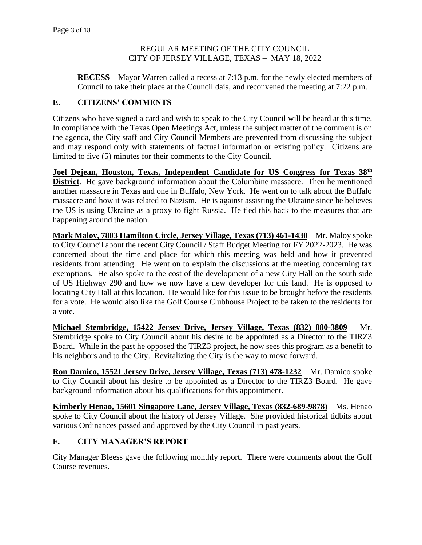**RECESS –** Mayor Warren called a recess at 7:13 p.m. for the newly elected members of Council to take their place at the Council dais, and reconvened the meeting at 7:22 p.m.

## **E. CITIZENS' COMMENTS**

Citizens who have signed a card and wish to speak to the City Council will be heard at this time. In compliance with the Texas Open Meetings Act, unless the subject matter of the comment is on the agenda, the City staff and City Council Members are prevented from discussing the subject and may respond only with statements of factual information or existing policy. Citizens are limited to five (5) minutes for their comments to the City Council.

**Joel Dejean, Houston, Texas, Independent Candidate for US Congress for Texas 38th District**. He gave background information about the Columbine massacre. Then he mentioned another massacre in Texas and one in Buffalo, New York. He went on to talk about the Buffalo massacre and how it was related to Nazism. He is against assisting the Ukraine since he believes the US is using Ukraine as a proxy to fight Russia. He tied this back to the measures that are happening around the nation.

**Mark Maloy, 7803 Hamilton Circle, Jersey Village, Texas (713) 461-1430** – Mr. Maloy spoke to City Council about the recent City Council / Staff Budget Meeting for FY 2022-2023. He was concerned about the time and place for which this meeting was held and how it prevented residents from attending. He went on to explain the discussions at the meeting concerning tax exemptions. He also spoke to the cost of the development of a new City Hall on the south side of US Highway 290 and how we now have a new developer for this land. He is opposed to locating City Hall at this location. He would like for this issue to be brought before the residents for a vote. He would also like the Golf Course Clubhouse Project to be taken to the residents for a vote.

**Michael Stembridge, 15422 Jersey Drive, Jersey Village, Texas (832) 880-3809** – Mr. Stembridge spoke to City Council about his desire to be appointed as a Director to the TIRZ3 Board. While in the past he opposed the TIRZ3 project, he now sees this program as a benefit to his neighbors and to the City. Revitalizing the City is the way to move forward.

**Ron Damico, 15521 Jersey Drive, Jersey Village, Texas (713) 478-1232** – Mr. Damico spoke to City Council about his desire to be appointed as a Director to the TIRZ3 Board. He gave background information about his qualifications for this appointment.

**Kimberly Henao, 15601 Singapore Lane, Jersey Village, Texas (832-689-9878)** – Ms. Henao spoke to City Council about the history of Jersey Village. She provided historical tidbits about various Ordinances passed and approved by the City Council in past years.

# **F. CITY MANAGER'S REPORT**

City Manager Bleess gave the following monthly report. There were comments about the Golf Course revenues.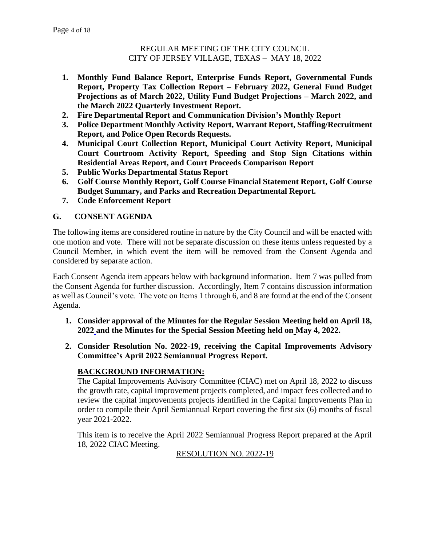- **1. Monthly Fund Balance Report, Enterprise Funds Report, Governmental Funds Report, Property Tax Collection Report – February 2022, General Fund Budget Projections as of March 2022, Utility Fund Budget Projections – March 2022, and the March 2022 Quarterly Investment Report.**
- **2. Fire Departmental Report and Communication Division's Monthly Report**
- **3. Police Department Monthly Activity Report, Warrant Report, Staffing/Recruitment Report, and Police Open Records Requests.**
- **4. Municipal Court Collection Report, Municipal Court Activity Report, Municipal Court Courtroom Activity Report, Speeding and Stop Sign Citations within Residential Areas Report, and Court Proceeds Comparison Report**
- **5. Public Works Departmental Status Report**
- **6. Golf Course Monthly Report, Golf Course Financial Statement Report, Golf Course Budget Summary, and Parks and Recreation Departmental Report.**
- **7. Code Enforcement Report**

# **G. CONSENT AGENDA**

The following items are considered routine in nature by the City Council and will be enacted with one motion and vote. There will not be separate discussion on these items unless requested by a Council Member, in which event the item will be removed from the Consent Agenda and considered by separate action.

Each Consent Agenda item appears below with background information. Item 7 was pulled from the Consent Agenda for further discussion. Accordingly, Item 7 contains discussion information as well as Council's vote. The vote on Items 1 through 6, and 8 are found at the end of the Consent Agenda.

- **1. Consider approval of the Minutes for the Regular Session Meeting held on April 18, 2022 and the Minutes for the Special Session Meeting held on May 4, 2022.**
- **2. Consider Resolution No. 2022-19, receiving the Capital Improvements Advisory Committee's April 2022 Semiannual Progress Report.**

# **BACKGROUND INFORMATION:**

The Capital Improvements Advisory Committee (CIAC) met on April 18, 2022 to discuss the growth rate, capital improvement projects completed, and impact fees collected and to review the capital improvements projects identified in the Capital Improvements Plan in order to compile their April Semiannual Report covering the first six (6) months of fiscal year 2021-2022.

This item is to receive the April 2022 Semiannual Progress Report prepared at the April 18, 2022 CIAC Meeting.

RESOLUTION NO. 2022-19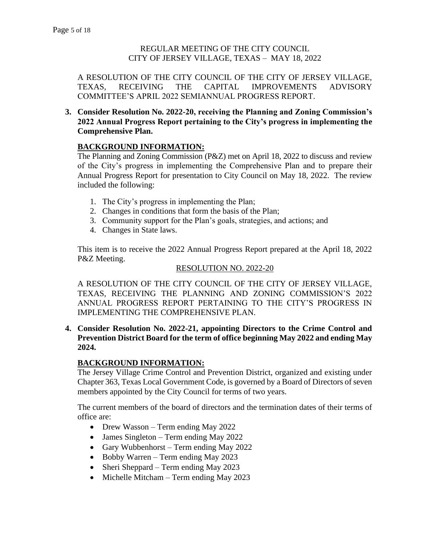A RESOLUTION OF THE CITY COUNCIL OF THE CITY OF JERSEY VILLAGE, TEXAS, RECEIVING THE CAPITAL IMPROVEMENTS ADVISORY COMMITTEE'S APRIL 2022 SEMIANNUAL PROGRESS REPORT.

**3. Consider Resolution No. 2022-20, receiving the Planning and Zoning Commission's 2022 Annual Progress Report pertaining to the City's progress in implementing the Comprehensive Plan.** 

# **BACKGROUND INFORMATION:**

The Planning and Zoning Commission (P&Z) met on April 18, 2022 to discuss and review of the City's progress in implementing the Comprehensive Plan and to prepare their Annual Progress Report for presentation to City Council on May 18, 2022. The review included the following:

- 1. The City's progress in implementing the Plan;
- 2. Changes in conditions that form the basis of the Plan;
- 3. Community support for the Plan's goals, strategies, and actions; and
- 4. Changes in State laws.

This item is to receive the 2022 Annual Progress Report prepared at the April 18, 2022 P&Z Meeting.

#### RESOLUTION NO. 2022-20

A RESOLUTION OF THE CITY COUNCIL OF THE CITY OF JERSEY VILLAGE, TEXAS, RECEIVING THE PLANNING AND ZONING COMMISSION'S 2022 ANNUAL PROGRESS REPORT PERTAINING TO THE CITY'S PROGRESS IN IMPLEMENTING THE COMPREHENSIVE PLAN.

**4. Consider Resolution No. 2022-21, appointing Directors to the Crime Control and Prevention District Board for the term of office beginning May 2022 and ending May 2024.** 

# **BACKGROUND INFORMATION:**

The Jersey Village Crime Control and Prevention District, organized and existing under Chapter 363, Texas Local Government Code, is governed by a Board of Directors of seven members appointed by the City Council for terms of two years.

The current members of the board of directors and the termination dates of their terms of office are:

- Drew Wasson Term ending May 2022
- James Singleton Term ending May 2022
- Gary Wubbenhorst Term ending May 2022
- Bobby Warren Term ending May 2023
- Sheri Sheppard Term ending May 2023
- Michelle Mitcham Term ending May 2023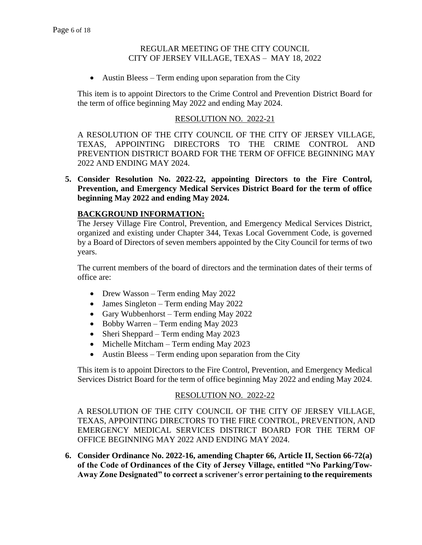• Austin Bleess – Term ending upon separation from the City

This item is to appoint Directors to the Crime Control and Prevention District Board for the term of office beginning May 2022 and ending May 2024.

### RESOLUTION NO. 2022-21

A RESOLUTION OF THE CITY COUNCIL OF THE CITY OF JERSEY VILLAGE, TEXAS, APPOINTING DIRECTORS TO THE CRIME CONTROL AND PREVENTION DISTRICT BOARD FOR THE TERM OF OFFICE BEGINNING MAY 2022 AND ENDING MAY 2024.

**5. Consider Resolution No. 2022-22, appointing Directors to the Fire Control, Prevention, and Emergency Medical Services District Board for the term of office beginning May 2022 and ending May 2024.** 

### **BACKGROUND INFORMATION:**

The Jersey Village Fire Control, Prevention, and Emergency Medical Services District, organized and existing under Chapter 344, Texas Local Government Code, is governed by a Board of Directors of seven members appointed by the City Council for terms of two years.

The current members of the board of directors and the termination dates of their terms of office are:

- Drew Wasson Term ending May 2022
- James Singleton Term ending May 2022
- Gary Wubbenhorst Term ending May 2022
- Bobby Warren Term ending May 2023
- Sheri Sheppard Term ending May 2023
- Michelle Mitcham Term ending May 2023
- Austin Bleess Term ending upon separation from the City

This item is to appoint Directors to the Fire Control, Prevention, and Emergency Medical Services District Board for the term of office beginning May 2022 and ending May 2024.

### RESOLUTION NO. 2022-22

A RESOLUTION OF THE CITY COUNCIL OF THE CITY OF JERSEY VILLAGE, TEXAS, APPOINTING DIRECTORS TO THE FIRE CONTROL, PREVENTION, AND EMERGENCY MEDICAL SERVICES DISTRICT BOARD FOR THE TERM OF OFFICE BEGINNING MAY 2022 AND ENDING MAY 2024.

**6. Consider Ordinance No. 2022-16, amending Chapter 66, Article II, Section 66-72(a) of the Code of Ordinances of the City of Jersey Village, entitled "No Parking/Tow-Away Zone Designated" to correct a scrivener's error pertaining to the requirements**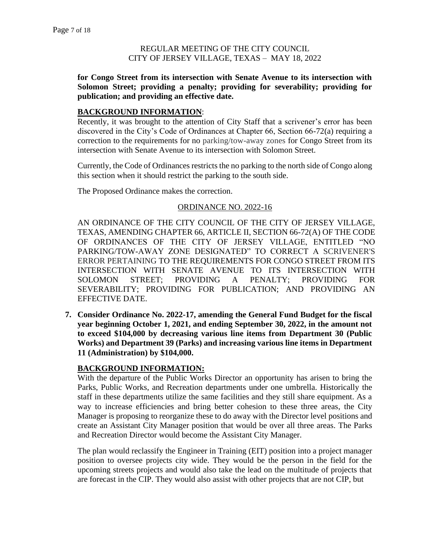**for Congo Street from its intersection with Senate Avenue to its intersection with Solomon Street; providing a penalty; providing for severability; providing for publication; and providing an effective date.** 

### **BACKGROUND INFORMATION**:

Recently, it was brought to the attention of City Staff that a scrivener's error has been discovered in the City's Code of Ordinances at Chapter 66, Section 66-72(a) requiring a correction to the requirements for no parking/tow-away zones for Congo Street from its intersection with Senate Avenue to its intersection with Solomon Street.

Currently, the Code of Ordinances restricts the no parking to the north side of Congo along this section when it should restrict the parking to the south side.

The Proposed Ordinance makes the correction.

### ORDINANCE NO. 2022-16

AN ORDINANCE OF THE CITY COUNCIL OF THE CITY OF JERSEY VILLAGE, TEXAS, AMENDING CHAPTER 66, ARTICLE II, SECTION 66-72(A) OF THE CODE OF ORDINANCES OF THE CITY OF JERSEY VILLAGE, ENTITLED "NO PARKING/TOW-AWAY ZONE DESIGNATED" TO CORRECT A SCRIVENER'S ERROR PERTAINING TO THE REQUIREMENTS FOR CONGO STREET FROM ITS INTERSECTION WITH SENATE AVENUE TO ITS INTERSECTION WITH SOLOMON STREET; PROVIDING A PENALTY; PROVIDING FOR SEVERABILITY; PROVIDING FOR PUBLICATION; AND PROVIDING AN EFFECTIVE DATE.

**7. Consider Ordinance No. 2022-17, amending the General Fund Budget for the fiscal year beginning October 1, 2021, and ending September 30, 2022, in the amount not to exceed \$104,000 by decreasing various line items from Department 30 (Public Works) and Department 39 (Parks) and increasing various line items in Department 11 (Administration) by \$104,000.** 

# **BACKGROUND INFORMATION:**

With the departure of the Public Works Director an opportunity has arisen to bring the Parks, Public Works, and Recreation departments under one umbrella. Historically the staff in these departments utilize the same facilities and they still share equipment. As a way to increase efficiencies and bring better cohesion to these three areas, the City Manager is proposing to reorganize these to do away with the Director level positions and create an Assistant City Manager position that would be over all three areas. The Parks and Recreation Director would become the Assistant City Manager.

The plan would reclassify the Engineer in Training (EIT) position into a project manager position to oversee projects city wide. They would be the person in the field for the upcoming streets projects and would also take the lead on the multitude of projects that are forecast in the CIP. They would also assist with other projects that are not CIP, but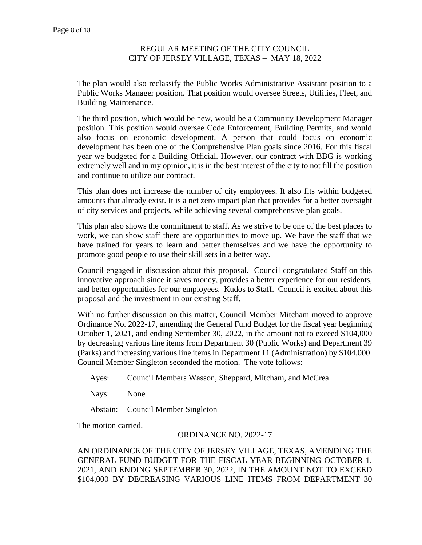The plan would also reclassify the Public Works Administrative Assistant position to a Public Works Manager position. That position would oversee Streets, Utilities, Fleet, and Building Maintenance.

The third position, which would be new, would be a Community Development Manager position. This position would oversee Code Enforcement, Building Permits, and would also focus on economic development. A person that could focus on economic development has been one of the Comprehensive Plan goals since 2016. For this fiscal year we budgeted for a Building Official. However, our contract with BBG is working extremely well and in my opinion, it is in the best interest of the city to not fill the position and continue to utilize our contract.

This plan does not increase the number of city employees. It also fits within budgeted amounts that already exist. It is a net zero impact plan that provides for a better oversight of city services and projects, while achieving several comprehensive plan goals.

This plan also shows the commitment to staff. As we strive to be one of the best places to work, we can show staff there are opportunities to move up. We have the staff that we have trained for years to learn and better themselves and we have the opportunity to promote good people to use their skill sets in a better way.

Council engaged in discussion about this proposal. Council congratulated Staff on this innovative approach since it saves money, provides a better experience for our residents, and better opportunities for our employees. Kudos to Staff. Council is excited about this proposal and the investment in our existing Staff.

With no further discussion on this matter, Council Member Mitcham moved to approve Ordinance No. 2022-17, amending the General Fund Budget for the fiscal year beginning October 1, 2021, and ending September 30, 2022, in the amount not to exceed \$104,000 by decreasing various line items from Department 30 (Public Works) and Department 39 (Parks) and increasing various line items in Department 11 (Administration) by \$104,000. Council Member Singleton seconded the motion. The vote follows:

Ayes: Council Members Wasson, Sheppard, Mitcham, and McCrea

Nays: None

Abstain: Council Member Singleton

The motion carried.

### ORDINANCE NO. 2022-17

AN ORDINANCE OF THE CITY OF JERSEY VILLAGE, TEXAS, AMENDING THE GENERAL FUND BUDGET FOR THE FISCAL YEAR BEGINNING OCTOBER 1, 2021, AND ENDING SEPTEMBER 30, 2022, IN THE AMOUNT NOT TO EXCEED \$104,000 BY DECREASING VARIOUS LINE ITEMS FROM DEPARTMENT 30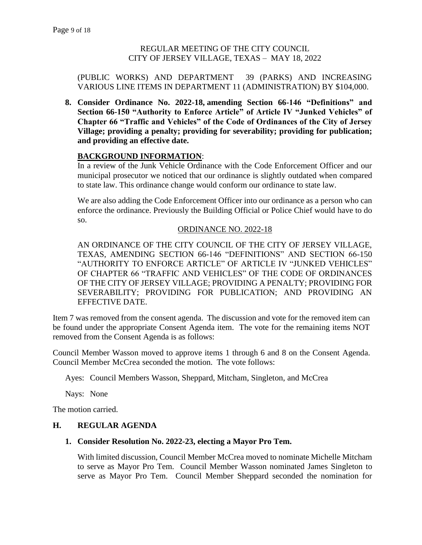### (PUBLIC WORKS) AND DEPARTMENT 39 (PARKS) AND INCREASING VARIOUS LINE ITEMS IN DEPARTMENT 11 (ADMINISTRATION) BY \$104,000.

**8. Consider Ordinance No. 2022-18, amending Section 66-146 "Definitions" and Section 66-150 "Authority to Enforce Article" of Article IV "Junked Vehicles" of Chapter 66 "Traffic and Vehicles" of the Code of Ordinances of the City of Jersey Village; providing a penalty; providing for severability; providing for publication; and providing an effective date.** 

# **BACKGROUND INFORMATION**:

In a review of the Junk Vehicle Ordinance with the Code Enforcement Officer and our municipal prosecutor we noticed that our ordinance is slightly outdated when compared to state law. This ordinance change would conform our ordinance to state law.

We are also adding the Code Enforcement Officer into our ordinance as a person who can enforce the ordinance. Previously the Building Official or Police Chief would have to do so.

# ORDINANCE NO. 2022-18

AN ORDINANCE OF THE CITY COUNCIL OF THE CITY OF JERSEY VILLAGE, TEXAS, AMENDING SECTION 66-146 "DEFINITIONS" AND SECTION 66-150 "AUTHORITY TO ENFORCE ARTICLE" OF ARTICLE IV "JUNKED VEHICLES" OF CHAPTER 66 "TRAFFIC AND VEHICLES" OF THE CODE OF ORDINANCES OF THE CITY OF JERSEY VILLAGE; PROVIDING A PENALTY; PROVIDING FOR SEVERABILITY; PROVIDING FOR PUBLICATION; AND PROVIDING AN EFFECTIVE DATE.

Item 7 was removed from the consent agenda. The discussion and vote for the removed item can be found under the appropriate Consent Agenda item. The vote for the remaining items NOT removed from the Consent Agenda is as follows:

Council Member Wasson moved to approve items 1 through 6 and 8 on the Consent Agenda. Council Member McCrea seconded the motion. The vote follows:

Ayes: Council Members Wasson, Sheppard, Mitcham, Singleton, and McCrea

Nays: None

The motion carried.

# **H. REGULAR AGENDA**

# **1. Consider Resolution No. 2022-23, electing a Mayor Pro Tem.**

With limited discussion, Council Member McCrea moved to nominate Michelle Mitcham to serve as Mayor Pro Tem.Council Member Wasson nominated James Singleton to serve as Mayor Pro Tem. Council Member Sheppard seconded the nomination for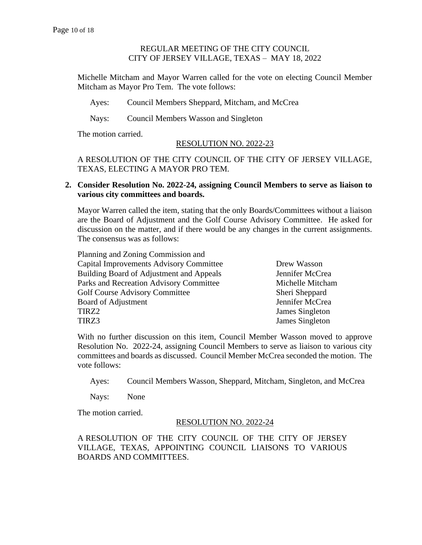Michelle Mitcham and Mayor Warren called for the vote on electing Council Member Mitcham as Mayor Pro Tem. The vote follows:

Ayes: Council Members Sheppard, Mitcham, and McCrea

Nays: Council Members Wasson and Singleton

The motion carried.

#### RESOLUTION NO. 2022-23

A RESOLUTION OF THE CITY COUNCIL OF THE CITY OF JERSEY VILLAGE, TEXAS, ELECTING A MAYOR PRO TEM.

### **2. Consider Resolution No. 2022-24, assigning Council Members to serve as liaison to various city committees and boards.**

Mayor Warren called the item, stating that the only Boards/Committees without a liaison are the Board of Adjustment and the Golf Course Advisory Committee. He asked for discussion on the matter, and if there would be any changes in the current assignments. The consensus was as follows:

Planning and Zoning Commission and Capital Improvements Advisory Committee Drew Wasson Building Board of Adjustment and Appeals Jennifer McCrea Parks and Recreation Advisory Committee Michelle Mitcham Golf Course Advisory Committee Sheri Sheppard Board of Adjustment Jennifer McCrea TIRZ2 James Singleton TIRZ3 James Singleton

With no further discussion on this item, Council Member Wasson moved to approve Resolution No. 2022-24, assigning Council Members to serve as liaison to various city committees and boards as discussed.Council Member McCrea seconded the motion. The vote follows:

Ayes: Council Members Wasson, Sheppard, Mitcham, Singleton, and McCrea

Nays: None

The motion carried.

### RESOLUTION NO. 2022-24

A RESOLUTION OF THE CITY COUNCIL OF THE CITY OF JERSEY VILLAGE, TEXAS, APPOINTING COUNCIL LIAISONS TO VARIOUS BOARDS AND COMMITTEES.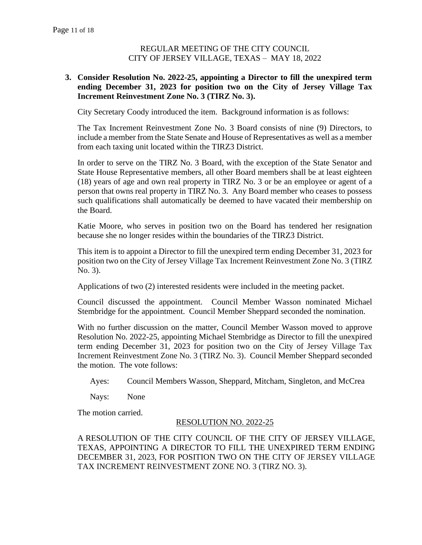### **3. Consider Resolution No. 2022-25, appointing a Director to fill the unexpired term ending December 31, 2023 for position two on the City of Jersey Village Tax Increment Reinvestment Zone No. 3 (TIRZ No. 3).**

City Secretary Coody introduced the item. Background information is as follows:

The Tax Increment Reinvestment Zone No. 3 Board consists of nine (9) Directors, to include a member from the State Senate and House of Representatives as well as a member from each taxing unit located within the TIRZ3 District.

In order to serve on the TIRZ No. 3 Board, with the exception of the State Senator and State House Representative members, all other Board members shall be at least eighteen (18) years of age and own real property in TIRZ No. 3 or be an employee or agent of a person that owns real property in TIRZ No. 3. Any Board member who ceases to possess such qualifications shall automatically be deemed to have vacated their membership on the Board.

Katie Moore, who serves in position two on the Board has tendered her resignation because she no longer resides within the boundaries of the TIRZ3 District.

This item is to appoint a Director to fill the unexpired term ending December 31, 2023 for position two on the City of Jersey Village Tax Increment Reinvestment Zone No. 3 (TIRZ No. 3).

Applications of two (2) interested residents were included in the meeting packet.

Council discussed the appointment. Council Member Wasson nominated Michael Stembridge for the appointment. Council Member Sheppard seconded the nomination.

With no further discussion on the matter, Council Member Wasson moved to approve Resolution No. 2022-25, appointing Michael Stembridge as Director to fill the unexpired term ending December 31, 2023 for position two on the City of Jersey Village Tax Increment Reinvestment Zone No. 3 (TIRZ No. 3).Council Member Sheppard seconded the motion. The vote follows:

Ayes: Council Members Wasson, Sheppard, Mitcham, Singleton, and McCrea

Nays: None

The motion carried.

### RESOLUTION NO. 2022-25

A RESOLUTION OF THE CITY COUNCIL OF THE CITY OF JERSEY VILLAGE, TEXAS, APPOINTING A DIRECTOR TO FILL THE UNEXPIRED TERM ENDING DECEMBER 31, 2023, FOR POSITION TWO ON THE CITY OF JERSEY VILLAGE TAX INCREMENT REINVESTMENT ZONE NO. 3 (TIRZ NO. 3).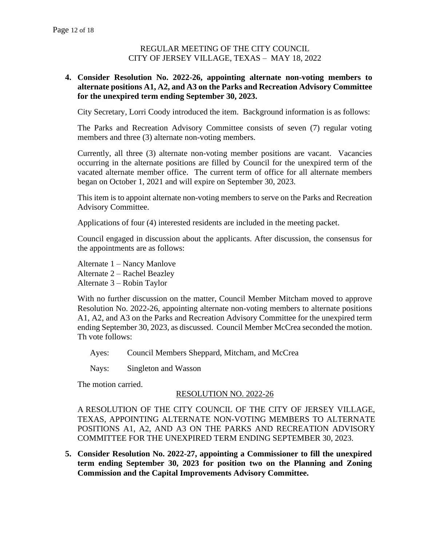### **4. Consider Resolution No. 2022-26, appointing alternate non-voting members to alternate positions A1, A2, and A3 on the Parks and Recreation Advisory Committee for the unexpired term ending September 30, 2023.**

City Secretary, Lorri Coody introduced the item. Background information is as follows:

The Parks and Recreation Advisory Committee consists of seven (7) regular voting members and three (3) alternate non-voting members.

Currently, all three (3) alternate non-voting member positions are vacant. Vacancies occurring in the alternate positions are filled by Council for the unexpired term of the vacated alternate member office. The current term of office for all alternate members began on October 1, 2021 and will expire on September 30, 2023.

This item is to appoint alternate non-voting members to serve on the Parks and Recreation Advisory Committee.

Applications of four (4) interested residents are included in the meeting packet.

Council engaged in discussion about the applicants. After discussion, the consensus for the appointments are as follows:

Alternate 1 – Nancy Manlove Alternate 2 – Rachel Beazley Alternate 3 – Robin Taylor

With no further discussion on the matter, Council Member Mitcham moved to approve Resolution No. 2022-26, appointing alternate non-voting members to alternate positions A1, A2, and A3 on the Parks and Recreation Advisory Committee for the unexpired term ending September 30, 2023, as discussed. Council Member McCrea seconded the motion. Th vote follows:

Ayes: Council Members Sheppard, Mitcham, and McCrea

Nays: Singleton and Wasson

The motion carried.

### RESOLUTION NO. 2022-26

A RESOLUTION OF THE CITY COUNCIL OF THE CITY OF JERSEY VILLAGE, TEXAS, APPOINTING ALTERNATE NON-VOTING MEMBERS TO ALTERNATE POSITIONS A1, A2, AND A3 ON THE PARKS AND RECREATION ADVISORY COMMITTEE FOR THE UNEXPIRED TERM ENDING SEPTEMBER 30, 2023.

**5. Consider Resolution No. 2022-27, appointing a Commissioner to fill the unexpired term ending September 30, 2023 for position two on the Planning and Zoning Commission and the Capital Improvements Advisory Committee.**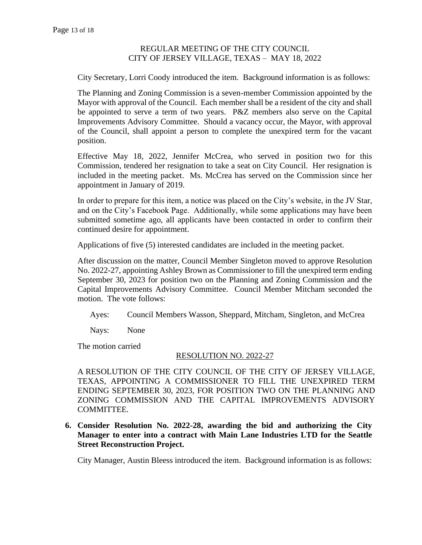City Secretary, Lorri Coody introduced the item. Background information is as follows:

The Planning and Zoning Commission is a seven-member Commission appointed by the Mayor with approval of the Council. Each member shall be a resident of the city and shall be appointed to serve a term of two years. P&Z members also serve on the Capital Improvements Advisory Committee. Should a vacancy occur, the Mayor, with approval of the Council, shall appoint a person to complete the unexpired term for the vacant position.

Effective May 18, 2022, Jennifer McCrea, who served in position two for this Commission, tendered her resignation to take a seat on City Council. Her resignation is included in the meeting packet. Ms. McCrea has served on the Commission since her appointment in January of 2019.

In order to prepare for this item, a notice was placed on the City's website, in the JV Star, and on the City's Facebook Page. Additionally, while some applications may have been submitted sometime ago, all applicants have been contacted in order to confirm their continued desire for appointment.

Applications of five (5) interested candidates are included in the meeting packet.

After discussion on the matter, Council Member Singleton moved to approve Resolution No. 2022-27, appointing Ashley Brown as Commissioner to fill the unexpired term ending September 30, 2023 for position two on the Planning and Zoning Commission and the Capital Improvements Advisory Committee.Council Member Mitcham seconded the motion. The vote follows:

Ayes: Council Members Wasson, Sheppard, Mitcham, Singleton, and McCrea

Nays: None

The motion carried

#### RESOLUTION NO. 2022-27

A RESOLUTION OF THE CITY COUNCIL OF THE CITY OF JERSEY VILLAGE, TEXAS, APPOINTING A COMMISSIONER TO FILL THE UNEXPIRED TERM ENDING SEPTEMBER 30, 2023, FOR POSITION TWO ON THE PLANNING AND ZONING COMMISSION AND THE CAPITAL IMPROVEMENTS ADVISORY COMMITTEE.

**6. Consider Resolution No. 2022-28, awarding the bid and authorizing the City Manager to enter into a contract with Main Lane Industries LTD for the Seattle Street Reconstruction Project.** 

City Manager, Austin Bleess introduced the item. Background information is as follows: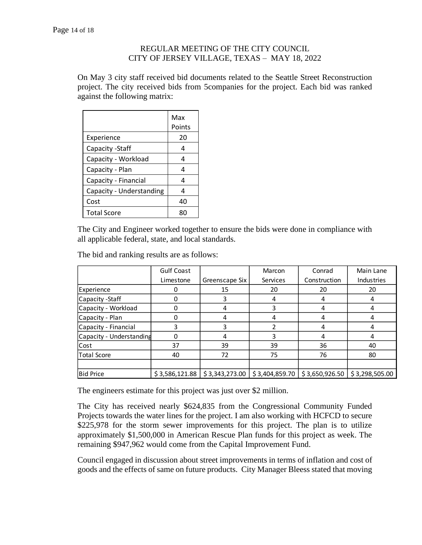On May 3 city staff received bid documents related to the Seattle Street Reconstruction project. The city received bids from 5companies for the project. Each bid was ranked against the following matrix:

|                          | Max<br>Points |
|--------------------------|---------------|
| Experience               | 20            |
| Capacity - Staff         | 4             |
| Capacity - Workload      | 4             |
| Capacity - Plan          | 4             |
| Capacity - Financial     | 4             |
| Capacity - Understanding | 4             |
| Cost                     | 40            |
| <b>Total Score</b>       | яr            |

The City and Engineer worked together to ensure the bids were done in compliance with all applicable federal, state, and local standards.

| The bid and ranking results are as follows: |  |
|---------------------------------------------|--|
|                                             |  |

|                          | <b>Gulf Coast</b> |                | Marcon         | Conrad         | Main Lane         |
|--------------------------|-------------------|----------------|----------------|----------------|-------------------|
|                          | Limestone         | Greenscape Six | Services       | Construction   | <b>Industries</b> |
| Experience               |                   | 15             | 20             | 20             | 20                |
| Capacity - Staff         | 0                 | 3              | 4              | 4              | 4                 |
| Capacity - Workload      |                   | 4              | 3              | 4              |                   |
| Capacity - Plan          |                   | 4              | 4              | 4              |                   |
| Capacity - Financial     |                   | 3              |                | 4              | 4                 |
| Capacity - Understanding | 0                 | 4              | 3              |                |                   |
| Cost                     | 37                | 39             | 39             | 36             | 40                |
| <b>Total Score</b>       | 40                | 72             | 75             | 76             | 80                |
|                          |                   |                |                |                |                   |
| <b>Bid Price</b>         | \$3,586,121.88    | \$3,343,273.00 | \$3,404,859.70 | \$3,650,926.50 | \$3,298,505.00    |

The engineers estimate for this project was just over \$2 million.

The City has received nearly \$624,835 from the Congressional Community Funded Projects towards the water lines for the project. I am also working with HCFCD to secure \$225,978 for the storm sewer improvements for this project. The plan is to utilize approximately \$1,500,000 in American Rescue Plan funds for this project as week. The remaining \$947,962 would come from the Capital Improvement Fund.

Council engaged in discussion about street improvements in terms of inflation and cost of goods and the effects of same on future products. City Manager Bleess stated that moving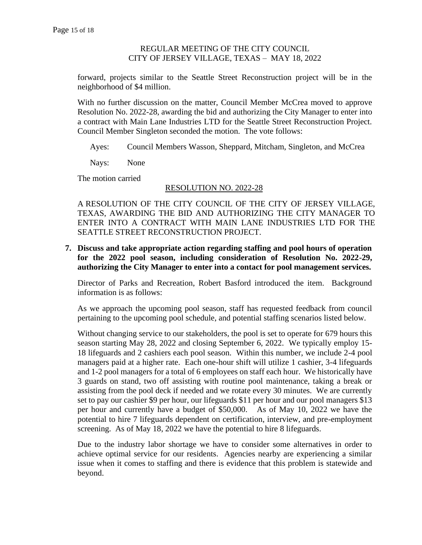forward, projects similar to the Seattle Street Reconstruction project will be in the neighborhood of \$4 million.

With no further discussion on the matter, Council Member McCrea moved to approve Resolution No. 2022-28, awarding the bid and authorizing the City Manager to enter into a contract with Main Lane Industries LTD for the Seattle Street Reconstruction Project. Council Member Singleton seconded the motion. The vote follows:

Ayes: Council Members Wasson, Sheppard, Mitcham, Singleton, and McCrea

Nays: None

The motion carried

### RESOLUTION NO. 2022-28

A RESOLUTION OF THE CITY COUNCIL OF THE CITY OF JERSEY VILLAGE, TEXAS, AWARDING THE BID AND AUTHORIZING THE CITY MANAGER TO ENTER INTO A CONTRACT WITH MAIN LANE INDUSTRIES LTD FOR THE SEATTLE STREET RECONSTRUCTION PROJECT.

**7. Discuss and take appropriate action regarding staffing and pool hours of operation for the 2022 pool season, including consideration of Resolution No. 2022-29, authorizing the City Manager to enter into a contact for pool management services.** 

Director of Parks and Recreation, Robert Basford introduced the item. Background information is as follows:

As we approach the upcoming pool season, staff has requested feedback from council pertaining to the upcoming pool schedule, and potential staffing scenarios listed below.

Without changing service to our stakeholders, the pool is set to operate for 679 hours this season starting May 28, 2022 and closing September 6, 2022. We typically employ 15- 18 lifeguards and 2 cashiers each pool season. Within this number, we include 2-4 pool managers paid at a higher rate. Each one-hour shift will utilize 1 cashier, 3-4 lifeguards and 1-2 pool managers for a total of 6 employees on staff each hour. We historically have 3 guards on stand, two off assisting with routine pool maintenance, taking a break or assisting from the pool deck if needed and we rotate every 30 minutes. We are currently set to pay our cashier \$9 per hour, our lifeguards \$11 per hour and our pool managers \$13 per hour and currently have a budget of \$50,000. As of May 10, 2022 we have the potential to hire 7 lifeguards dependent on certification, interview, and pre-employment screening. As of May 18, 2022 we have the potential to hire 8 lifeguards.

Due to the industry labor shortage we have to consider some alternatives in order to achieve optimal service for our residents. Agencies nearby are experiencing a similar issue when it comes to staffing and there is evidence that this problem is statewide and beyond.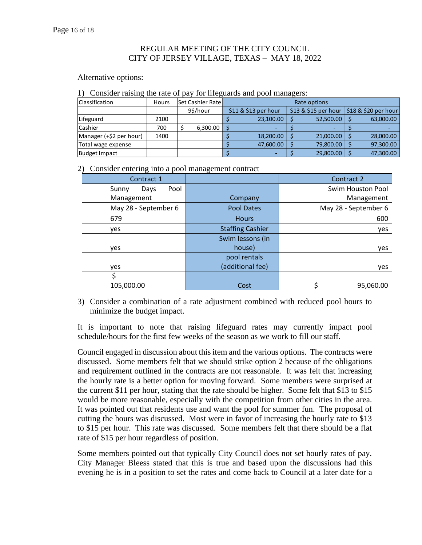#### Alternative options:

1) Consider raising the rate of pay for lifeguards and pool managers:

| <b>Classification</b>   | Hours | <b>Set Cashier Rate</b> | Rate options |                      |  |                                             |  |           |
|-------------------------|-------|-------------------------|--------------|----------------------|--|---------------------------------------------|--|-----------|
|                         |       | 9\$/hour                |              | \$11 & \$13 per hour |  | $$13$ & \$15 per hour $$18$ & \$20 per hour |  |           |
| Lifeguard               | 2100  |                         |              | 23,100.00            |  | 52,500.00                                   |  | 63,000.00 |
| Cashier                 | 700   | 6,300.00                |              |                      |  |                                             |  |           |
| Manager (+\$2 per hour) | 1400  |                         |              | 18,200.00            |  | 21,000.00                                   |  | 28,000.00 |
| Total wage expense      |       |                         |              | 47,600.00            |  | 79,800.00                                   |  | 97,300.00 |
| Budget Impact           |       |                         |              | ۰                    |  | 29,800.00                                   |  | 47,300.00 |

2) Consider entering into a pool management contract

| Contract 1            |                         | Contract 2           |
|-----------------------|-------------------------|----------------------|
| Pool<br>Sunny<br>Days |                         | Swim Houston Pool    |
| Management            | Company                 | Management           |
| May 28 - September 6  | <b>Pool Dates</b>       | May 28 - September 6 |
| 679                   | <b>Hours</b>            | 600                  |
| yes                   | <b>Staffing Cashier</b> | yes                  |
|                       | Swim lessons (in        |                      |
| yes                   | house)                  | yes                  |
|                       | pool rentals            |                      |
| yes                   | (additional fee)        | yes                  |
| \$                    |                         |                      |
| 105,000.00            | Cost                    | 95,060.00            |

3) Consider a combination of a rate adjustment combined with reduced pool hours to minimize the budget impact.

It is important to note that raising lifeguard rates may currently impact pool schedule/hours for the first few weeks of the season as we work to fill our staff.

Council engaged in discussion about this item and the various options. The contracts were discussed. Some members felt that we should strike option 2 because of the obligations and requirement outlined in the contracts are not reasonable. It was felt that increasing the hourly rate is a better option for moving forward. Some members were surprised at the current \$11 per hour, stating that the rate should be higher. Some felt that \$13 to \$15 would be more reasonable, especially with the competition from other cities in the area. It was pointed out that residents use and want the pool for summer fun. The proposal of cutting the hours was discussed. Most were in favor of increasing the hourly rate to \$13 to \$15 per hour. This rate was discussed. Some members felt that there should be a flat rate of \$15 per hour regardless of position.

Some members pointed out that typically City Council does not set hourly rates of pay. City Manager Bleess stated that this is true and based upon the discussions had this evening he is in a position to set the rates and come back to Council at a later date for a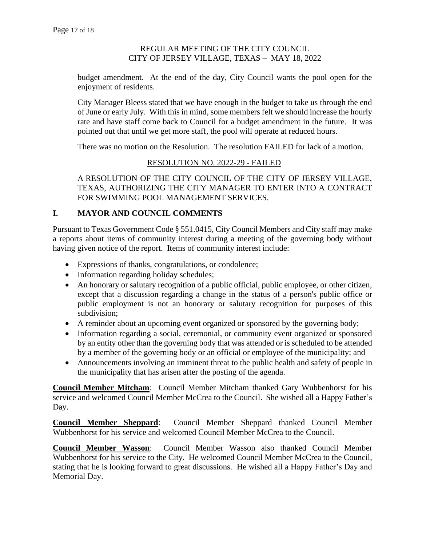budget amendment. At the end of the day, City Council wants the pool open for the enjoyment of residents.

City Manager Bleess stated that we have enough in the budget to take us through the end of June or early July. With this in mind, some members felt we should increase the hourly rate and have staff come back to Council for a budget amendment in the future. It was pointed out that until we get more staff, the pool will operate at reduced hours.

There was no motion on the Resolution. The resolution FAILED for lack of a motion.

### RESOLUTION NO. 2022-29 - FAILED

A RESOLUTION OF THE CITY COUNCIL OF THE CITY OF JERSEY VILLAGE, TEXAS, AUTHORIZING THE CITY MANAGER TO ENTER INTO A CONTRACT FOR SWIMMING POOL MANAGEMENT SERVICES.

### **I. MAYOR AND COUNCIL COMMENTS**

Pursuant to Texas Government Code § 551.0415, City Council Members and City staff may make a reports about items of community interest during a meeting of the governing body without having given notice of the report. Items of community interest include:

- Expressions of thanks, congratulations, or condolence;
- Information regarding holiday schedules;
- An honorary or salutary recognition of a public official, public employee, or other citizen, except that a discussion regarding a change in the status of a person's public office or public employment is not an honorary or salutary recognition for purposes of this subdivision;
- A reminder about an upcoming event organized or sponsored by the governing body;
- Information regarding a social, ceremonial, or community event organized or sponsored by an entity other than the governing body that was attended or is scheduled to be attended by a member of the governing body or an official or employee of the municipality; and
- Announcements involving an imminent threat to the public health and safety of people in the municipality that has arisen after the posting of the agenda.

**Council Member Mitcham**: Council Member Mitcham thanked Gary Wubbenhorst for his service and welcomed Council Member McCrea to the Council. She wished all a Happy Father's Day.

**Council Member Sheppard**: Council Member Sheppard thanked Council Member Wubbenhorst for his service and welcomed Council Member McCrea to the Council.

**Council Member Wasson**: Council Member Wasson also thanked Council Member Wubbenhorst for his service to the City. He welcomed Council Member McCrea to the Council, stating that he is looking forward to great discussions. He wished all a Happy Father's Day and Memorial Day.